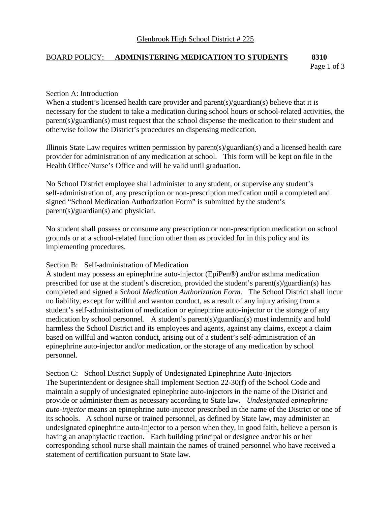# BOARD POLICY: **ADMINISTERING MEDICATION TO STUDENTS 8310**

Page 1 of 3

#### Section A: Introduction

When a student's licensed health care provider and parent(s)/guardian(s) believe that it is necessary for the student to take a medication during school hours or school-related activities, the parent(s)/guardian(s) must request that the school dispense the medication to their student and otherwise follow the District's procedures on dispensing medication.

Illinois State Law requires written permission by parent(s)/guardian(s) and a licensed health care provider for administration of any medication at school. This form will be kept on file in the Health Office/Nurse's Office and will be valid until graduation.

No School District employee shall administer to any student, or supervise any student's self-administration of, any prescription or non-prescription medication until a completed and signed "School Medication Authorization Form" is submitted by the student's parent(s)/guardian(s) and physician.

No student shall possess or consume any prescription or non-prescription medication on school grounds or at a school-related function other than as provided for in this policy and its implementing procedures.

### Section B: Self-administration of Medication

A student may possess an epinephrine auto-injector (EpiPen®) and/or asthma medication prescribed for use at the student's discretion, provided the student's parent(s)/guardian(s) has completed and signed a *School Medication Authorization Form*. The School District shall incur no liability, except for willful and wanton conduct, as a result of any injury arising from a student's self-administration of medication or epinephrine auto-injector or the storage of any medication by school personnel. A student's parent(s)/guardian(s) must indemnify and hold harmless the School District and its employees and agents, against any claims, except a claim based on willful and wanton conduct, arising out of a student's self-administration of an epinephrine auto-injector and/or medication, or the storage of any medication by school personnel.

Section C: School District Supply of Undesignated Epinephrine Auto-Injectors The Superintendent or designee shall implement Section 22-30(f) of the School Code and maintain a supply of undesignated epinephrine auto-injectors in the name of the District and provide or administer them as necessary according to State law. *Undesignated epinephrine auto-injector* means an epinephrine auto-injector prescribed in the name of the District or one of its schools. A school nurse or trained personnel, as defined by State law, may administer an undesignated epinephrine auto-injector to a person when they, in good faith, believe a person is having an anaphylactic reaction. Each building principal or designee and/or his or her corresponding school nurse shall maintain the names of trained personnel who have received a statement of certification pursuant to State law.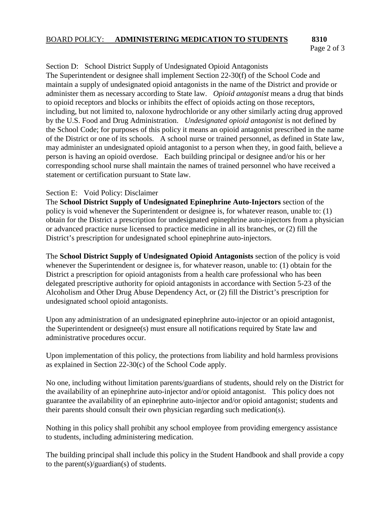### BOARD POLICY: **ADMINISTERING MEDICATION TO STUDENTS** 8310

# Page 2 of 3

## Section D: School District Supply of Undesignated Opioid Antagonists

The Superintendent or designee shall implement Section 22-30(f) of the School Code and maintain a supply of undesignated opioid antagonists in the name of the District and provide or administer them as necessary according to State law. *Opioid antagonist* means a drug that binds to opioid receptors and blocks or inhibits the effect of opioids acting on those receptors, including, but not limited to, naloxone hydrochloride or any other similarly acting drug approved by the U.S. Food and Drug Administration. *Undesignated opioid antagonist* is not defined by the School Code; for purposes of this policy it means an opioid antagonist prescribed in the name of the District or one of its schools. A school nurse or trained personnel, as defined in State law, may administer an undesignated opioid antagonist to a person when they, in good faith, believe a person is having an opioid overdose. Each building principal or designee and/or his or her corresponding school nurse shall maintain the names of trained personnel who have received a statement or certification pursuant to State law.

### Section E: Void Policy: Disclaimer

The **School District Supply of Undesignated Epinephrine Auto-Injectors** section of the policy is void whenever the Superintendent or designee is, for whatever reason, unable to: (1) obtain for the District a prescription for undesignated epinephrine auto-injectors from a physician or advanced practice nurse licensed to practice medicine in all its branches, or (2) fill the District's prescription for undesignated school epinephrine auto-injectors.

The **School District Supply of Undesignated Opioid Antagonists** section of the policy is void whenever the Superintendent or designee is, for whatever reason, unable to: (1) obtain for the District a prescription for opioid antagonists from a health care professional who has been delegated prescriptive authority for opioid antagonists in accordance with Section 5-23 of the Alcoholism and Other Drug Abuse Dependency Act, or (2) fill the District's prescription for undesignated school opioid antagonists.

Upon any administration of an undesignated epinephrine auto-injector or an opioid antagonist, the Superintendent or designee(s) must ensure all notifications required by State law and administrative procedures occur.

Upon implementation of this policy, the protections from liability and hold harmless provisions as explained in Section 22-30(c) of the School Code apply.

No one, including without limitation parents/guardians of students, should rely on the District for the availability of an epinephrine auto-injector and/or opioid antagonist. This policy does not guarantee the availability of an epinephrine auto-injector and/or opioid antagonist; students and their parents should consult their own physician regarding such medication(s).

Nothing in this policy shall prohibit any school employee from providing emergency assistance to students, including administering medication.

The building principal shall include this policy in the Student Handbook and shall provide a copy to the parent(s)/guardian(s) of students.